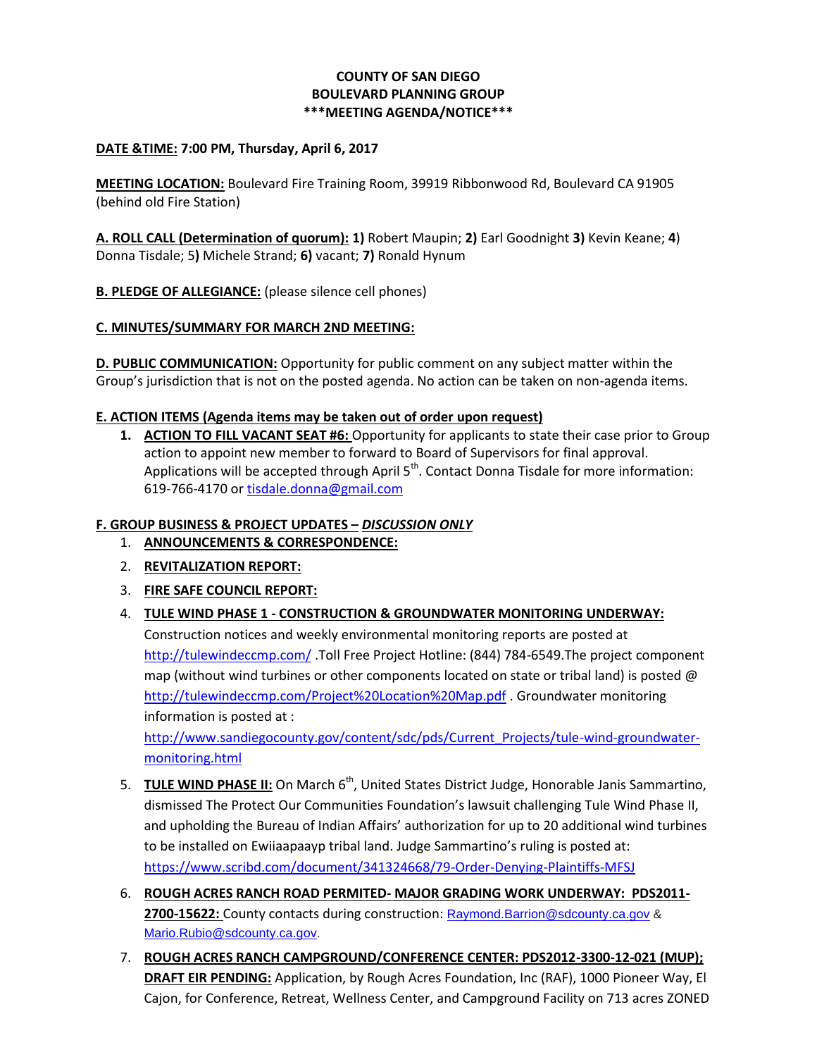# **COUNTY OF SAN DIEGO BOULEVARD PLANNING GROUP \*\*\*MEETING AGENDA/NOTICE\*\*\***

#### **DATE &TIME: 7:00 PM, Thursday, April 6, 2017**

**MEETING LOCATION:** Boulevard Fire Training Room, 39919 Ribbonwood Rd, Boulevard CA 91905 (behind old Fire Station)

**A. ROLL CALL (Determination of quorum): 1)** Robert Maupin; **2)** Earl Goodnight **3)** Kevin Keane; **4**) Donna Tisdale; 5**)** Michele Strand; **6)** vacant; **7)** Ronald Hynum

**B. PLEDGE OF ALLEGIANCE:** (please silence cell phones)

## **C. MINUTES/SUMMARY FOR MARCH 2ND MEETING:**

**D. PUBLIC COMMUNICATION:** Opportunity for public comment on any subject matter within the Group's jurisdiction that is not on the posted agenda. No action can be taken on non-agenda items.

## **E. ACTION ITEMS (Agenda items may be taken out of order upon request)**

**1. ACTION TO FILL VACANT SEAT #6:** Opportunity for applicants to state their case prior to Group action to appoint new member to forward to Board of Supervisors for final approval. Applications will be accepted through April 5<sup>th</sup>. Contact Donna Tisdale for more information: 619-766-4170 or [tisdale.donna@gmail.com](mailto:tisdale.donna@gmail.com)

#### **F. GROUP BUSINESS & PROJECT UPDATES –** *DISCUSSION ONLY*

- 1. **ANNOUNCEMENTS & CORRESPONDENCE:**
- 2. **REVITALIZATION REPORT:**
- 3. **FIRE SAFE COUNCIL REPORT:**

# 4. **TULE WIND PHASE 1 - CONSTRUCTION & GROUNDWATER MONITORING UNDERWAY:**

Construction notices and weekly environmental monitoring reports are posted at <http://tulewindeccmp.com/> .Toll Free Project Hotline: (844) 784-6549.The project component map (without wind turbines or other components located on state or tribal land) is posted  $\omega$ <http://tulewindeccmp.com/Project%20Location%20Map.pdf> . Groundwater monitoring information is posted at :

[http://www.sandiegocounty.gov/content/sdc/pds/Current\\_Projects/tule-wind-groundwater](http://www.sandiegocounty.gov/content/sdc/pds/Current_Projects/tule-wind-groundwater-monitoring.html)[monitoring.html](http://www.sandiegocounty.gov/content/sdc/pds/Current_Projects/tule-wind-groundwater-monitoring.html)

- 5. **TULE WIND PHASE II:** On March 6<sup>th</sup>, United States District Judge, Honorable Janis Sammartino, dismissed The Protect Our Communities Foundation's lawsuit challenging Tule Wind Phase II, and upholding the Bureau of Indian Affairs' authorization for up to 20 additional wind turbines to be installed on Ewiiaapaayp tribal land. Judge Sammartino's ruling is posted at: <https://www.scribd.com/document/341324668/79-Order-Denying-Plaintiffs-MFSJ>
- 6. **ROUGH ACRES RANCH ROAD PERMITED- MAJOR GRADING WORK UNDERWAY: PDS2011- 2700-15622:** County contacts during construction: [Raymond.Barrion@sdcounty.ca.gov](mailto:Raymond.Barrion@sdcounty.ca.gov) & [Mario.Rubio@sdcounty.ca.gov.](mailto:Mario.Rubio@sdcounty.ca.gov)
- 7. **ROUGH ACRES RANCH CAMPGROUND/CONFERENCE CENTER: PDS2012-3300-12-021 (MUP); DRAFT EIR PENDING:** Application, by Rough Acres Foundation, Inc (RAF), 1000 Pioneer Way, El Cajon, for Conference, Retreat, Wellness Center, and Campground Facility on 713 acres ZONED